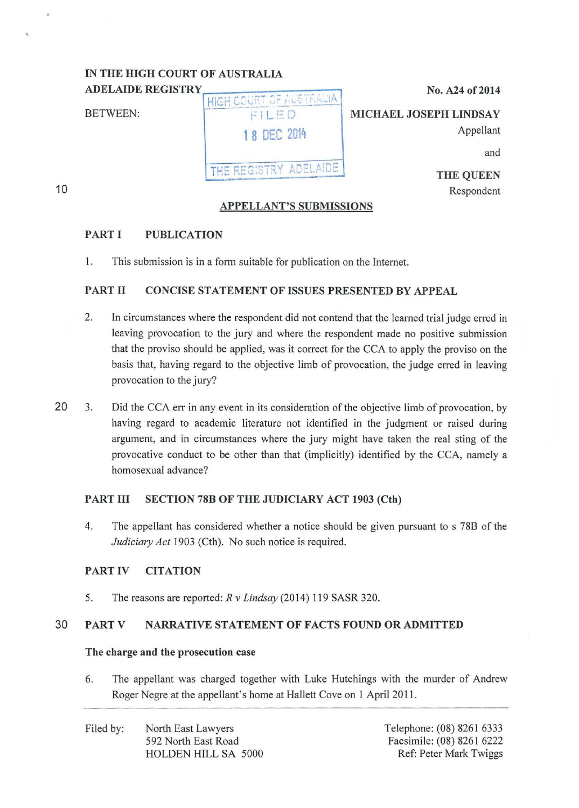#### IN THE HIGH COURT OF AUSTRALIA **ADELAIDE REGISTRY**

| No. A24 of 2014        | COURT OF ALSTRALIA     | <b>ADELAIDE REGISTRY</b> |
|------------------------|------------------------|--------------------------|
| MICHAEL JOSEPH LINDSAY | FILED                  | <b>BETWEEN:</b>          |
| Appellant              | 1 8 DEC 2014           |                          |
| and                    |                        |                          |
| <b>THE QUEEN</b>       | THE REGISTRY ADELAIDE. |                          |

## APPELLANT'S SUBMISSIONS

Respondent

 $121 0224$ 

# PART I PUBLICATION

I. This submission is in a form suitable for publication on the Internet.

# PART II CONCISE STATEMENT OF ISSUES PRESENTED BY APPEAL

- 2. In circumstances where the respondent did not contend that the learned trial judge erred in leaving provocation to the jury and where the respondent made no positive submission that the proviso should be applied, was it correct for the CCA to apply the proviso on the basis that, having regard to the objective limb of provocation, the judge erred in leaving provocation to the jury?
- 20 3. Did the CCA err in any event in its consideration of the objective limb of provocation, by having regard to academic literature not identified in the judgment or raised during argument, and in circumstances where the jury might have taken the real sting of the provocative conduct to be other than that (implicitly) identified by the CCA, namely a homosexual advance?

# PART III SECTION 78B OF THE JUDICIARY ACT 1903 (Cth)

4. The appellant has considered whether a notice should be given pursuant to s 78B of the *Judiciary Act* 1903 (Cth). No such notice is required.

# PART IV CITATION

5. The reasons are reported: *R v Lindsay* (2014) 119 SASR 320.

# 30 PART V NARRATIVE STATEMENT OF FACTS FOUND OR ADMITTED

## The charge and the prosecution case

6. The appellant was charged together with Luke Hutchings with the murder of Andrew Roger Negre at the appellant's home at Hallett Cove on 1 April 2011.

10

...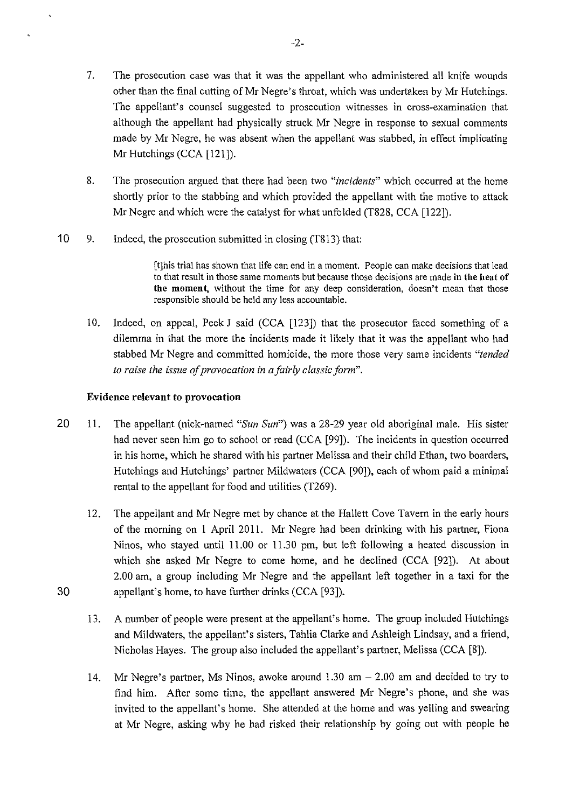- 7. The prosecution case was that it was the appellant who administered all knife wounds other than the final cutting of Mr Negre's throat, which was undertaken by Mr Hutchings. The appellant's counsel suggested to prosecution witnesses in cross-examination that although the appellant had physically struck Mr Negre in response to sexual comments made by Mr Negre, he was absent when the appellant was stabbed, in effect implicating Mr Hutchings (CCA [121]).
- 8. The prosecution argued that there had been two *"incidents"* which occurred at the home shortly prior to the stabbing and which provided the appellant with the motive to attack Mr Negre and which were the catalyst for what unfolded (T828, CCA [122]).
- 10 9. Indeed, the prosecution submitted in closing (T813) that:

[t]his trial has shown that life can end in a moment. People can make decisions that lead to that result in those same moments but because those decisions are made in the heat of the moment, without the time for any deep consideration, doesn't mean that those responsible should be held any less accountable.

10. Indeed, on appeal, Peek J said (CCA [123]) that the prosecutor faced something of a dilemma in that the more the incidents made it likely that it was the appellant who had stabbed Mr Negre and committed homicide, the more those very same incidents *"tended to raise the issue of provocation in a fairly classic form".* 

## Evidence relevant to provocation

- 20 11. The appellant (nick-named *"Sun Sun")* was a 28-29 year old aboriginal male. His sister had never seen him go to school or read (CCA [99]). The incidents in question occurred in his home, which he shared with his partner Melissa and their child Ethan, two boarders, Hutchings and Hutchings' partner Mildwaters (CCA [90]), each of whom paid a minimal rental to the appellant for food and utilities (T269).
- 12. The appellant and Mr Negre met by chance at the Hallett Cove Tavern in the early hours of the morning on 1 April 2011. Mr Negre had been drinking with his partner, Fiona Ninos, who stayed until 11.00 or 11.30 pm, but left following a heated discussion in which she asked Mr Negre to come home, and he declined (CCA [92]). At about 2.00 am, a group including Mr Negre and the appellant left together in a taxi for the 30 appellant's home, to have further drinks (CCA [93]).
	- 13. A number of people were present at the appellant's home. The group included Hutchings and Mildwaters, the appellant's sisters, Tahlia Clarke and Ashleigh Lindsay, and a friend, Nicholas Hayes. The group also included the appellant's partner, Melissa (CCA [8]).
	- 14. Mr Negre's partner, Ms Ninos, awoke around 1.30 am 2.00 am and decided to try to find him. After some time, the appellant answered Mr Negre's phone, and she was invited to the appellant's home. She attended at the home and was yelling and swearing at Mr Negre, asking why he had risked their relationship by going out with people he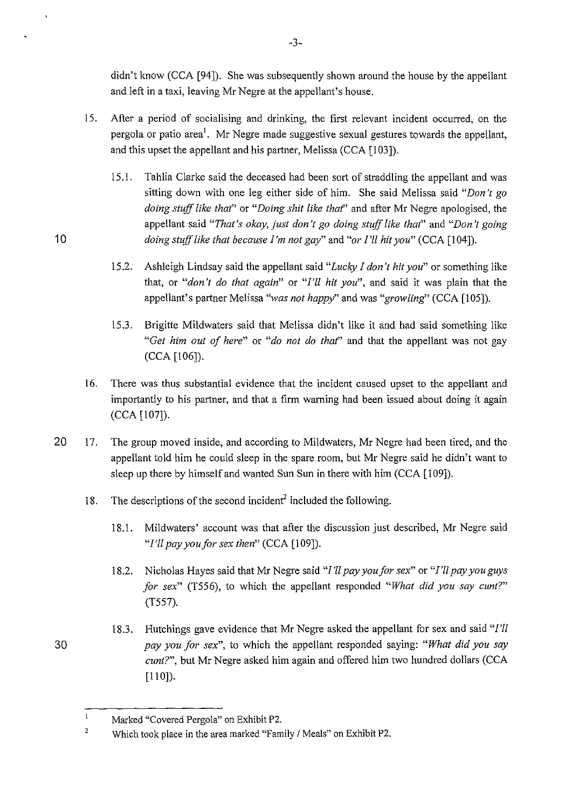didn't know (CCA [94]). She was subsequently shown around the house by the appellant and left in a taxi, leaving Mr Negre at the appellant's house.

- 15. After a period of socialising and drinking, the first relevant incident occurred, on the pergola or patio area<sup>1</sup>. Mr Negre made suggestive sexual gestures towards the appellant, and this upset the appellant and his partner, Melissa (CCA [103]).
- 15.1. Tahlia Clarke said the deceased had been sort of straddling the appellant and was sitting down with one leg either side of him. She said Melissa said *"Don't go doing stuff like thaf'* or *"Doing shit like thaf'* and after Mr Negre apologised, the appellant said *"That's okay, just don't go doing stuff like thaf'* and *"Don't going*  10 *doing stuff like that because I'm not gay*" and "or I'll hit you" (CCA [104]).
	- 15.2. Ashleigh Lindsay said the appellant said *"Lucky I don't hit you"* or something like that, or *"don't do that again"* or *"I'll hit you",* and said it was plain that the appellant's partner Melissa *"was not happy"* and was *"growling'* (CCA [105]).
	- 15.3. Brigitte Mildwaters said that Melissa didn't like it and had said something like *"Get him out of here"* or *"do not do that"* and that the appellant was not gay (CCA [106]).
	- 16. There was thus substantial evidence that the incident caused upset to the appellant and importantly to his partner, and that a firm warning had been issued about doing it again (CCA [107]).
- 20 17. The group moved inside, and according to Mildwaters, Mr Negre had been tired, and the appellant told him he could sleep in the spare room, but Mr Negre said he didn't want to sleep up there by himself and wanted Sun Sun in there with him (CCA [109]).
	- 18. The descriptions of the second incident<sup>2</sup> included the following.
		- 18.1. Mildwaters' account was that after the discussion just described, Mr Negre said *"I'll pay you for sex then"* (CCA [109]).
		- 18.2. Nicholas Hayes said that Mr Negre said *"I'll pay you for sex"* or *"I'll pay you guys for sex"* (T556), to which the appellant responded *"What did you say cunt?"*  (T557).
- 18.3. Hutchings gave evidence that Mr Negre asked the appellant for sex and said *"I'll*  30 *pay you for sex",* to which the appellant responded saying: *"What did you say cunt?",* but Mr Negre asked him again and offered him two hundred dollars (CCA [110]).

 $\mathbf{1}$ Marked "Covered Pergola" on Exhibit P2.

<sup>&</sup>lt;sup>2</sup> Which took place in the area marked "Family / Meals" on Exhibit P2.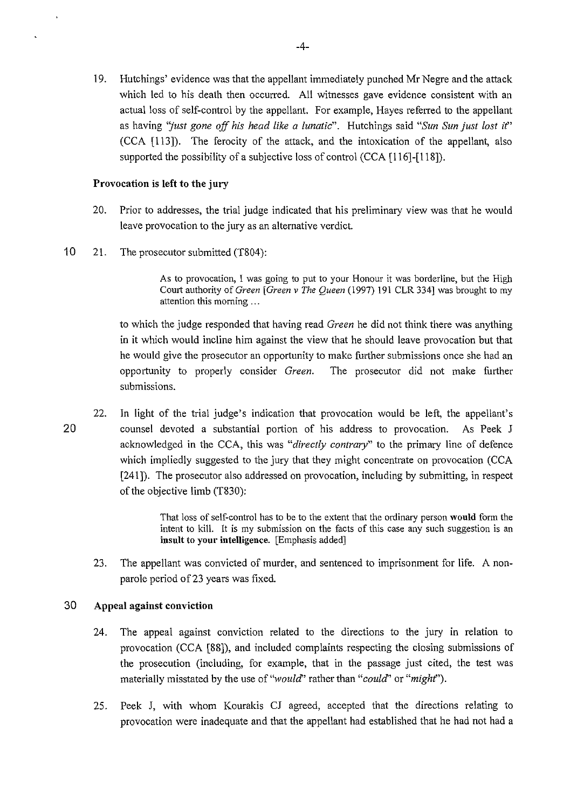19. Hutchings' evidence was that the appellant immediately punched Mr Negre and the attack which led to his death then occurred. All witnesses gave evidence consistent with an actual loss of self-control by the appellant. For example, Hayes referred to the appellant as having *"just gone off his head like a lunatic".* Hutchings said *"Sun Sun just lost if'*  (CCA [113]). The ferocity of the attack, and the intoxication of the appellant, also supported the possibility of a subjective loss of control (CCA [116]-[118]).

### **Provocation is left to the jury**

- 20. Prior to addresses, the trial judge indicated that his preliminary view was that he would leave provocation to the jury as an alternative verdict.
- 10 21. The prosecutor submitted (T804):

As to provocation, I was going to put to your Honour it was borderline, but the High Court authority of *Green [Green v The Queen* (!997) 191 CLR 334] was brought to my attention this morning ...

to which the judge responded that having read *Green* he did not think there was anything in it which would incline him against the view that he should leave provocation but that he would give the prosecutor an opportunity to make further submissions once she had an opportunity to properly consider *Green.* The prosecutor did not make further submissions.

22. In light of the trial judge's indication that provocation would be left, the appellant's 20 counsel devoted a substantial portion of his address to provocation. As Peek J acknowledged in the CCA, this was *"directly contrary"* to the primary line of defence which impliedly suggested to the jury that they might concentrate on provocation (CCA [241 ]). The prosecutor also addressed on provocation, including by submitting, in respect of the objective limb (T830):

> That loss of self-control has to be to the extent that the ordinary person **would** form the intent to kill. It is my submission on the facts of this case any such suggestion is an **insult to your intelligence.** [Emphasis added]

23. The appellant was convicted of murder, and sentenced to imprisonment for life. A nonparole period of 23 years was fixed.

### 30 **Appeal against conviction**

- 24. The appeal against conviction related to the directions to the jury in relation to provocation (CCA [88]), and included complaints respecting the closing submissions of the prosecution (including, for example, that in the passage just cited, the test was materially misstated by the use of *"would'* rather than *"could'* or *"mighf').*
- 25. Peek J, with whom Kourakis CJ agreed, accepted that the directions relating to provocation were inadequate and that the appellant had established that he had not had a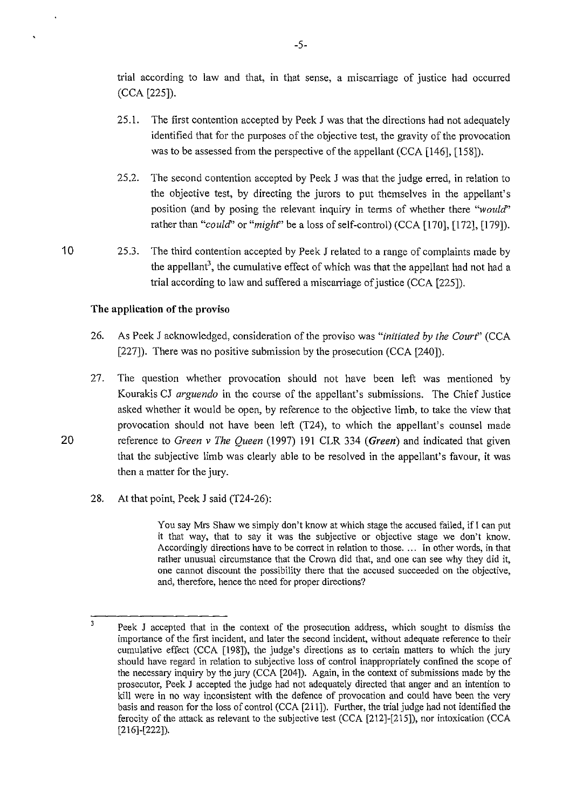trial according to law and that, m that sense, a miscarriage of justice had occurred (CCA [225]).

- 25.1. The first contention accepted by Peek J was that the directions had not adequately identified that for the purposes of the objective test, the gravity of the provocation was to be assessed from the perspective of the appellant (CCA [146], [158]).
- 25.2. The second contention accepted by Peek J was that the judge erred, in relation to the objective test, by directing the jurors to put themselves in the appellant's position (and by posing the relevant inquiry in terms of whether there *"would'*  rather than "*could*" or "*might*" be a loss of self-control) (CCA [170], [172], [179]).
- 10 25.3. The third contention accepted by Peek J related to a range of complaints made by the appellant<sup>3</sup>, the cumulative effect of which was that the appellant had not had a trial according to law and suffered a miscarriage of justice (CCA [225]).

## **The application of the proviso**

- 26. As Peek J acknowledged, consideration of the proviso was "initiated by the Court" (CCA [227]). There was no positive submission by the prosecution (CCA [240]).
- 27. The question whether provocation should not have been left was mentioned by Kourakis CJ *arguendo* in the course of the appellant's submissions. The Chief Justice asked whether it would be open, by reference to the objective limb, to take the view that provocation should not have been left (T24), to which the appellant's counsel made 20 reference to *Green v The Queen* (1997) 191 CLR 334 *(Green)* and indicated that given that the subjective limb was clearly able to be resolved in the appellant's favour, it was then a matter for the jury.
	- 28. At that point, Peek J said (T24-26):

You say Mrs Shaw we simply don't know at which stage the accused failed, if I can put it that way, that to say it was the subjective or objective stage we don't know. Accordingly directions have to be correct in relation to those. ... In other words, in that rather unusual circumstance that the Crown did that, and one can see why they did it, one cannot discount the possibility there that the accused succeeded on the objective, and, therefore, hence the need for proper directions?

 $\overline{\mathbf{3}}$ Peek J accepted that in the context of the prosecution address, which sought to dismiss the importance of the first incident, and later the second incident, without adequate reference to their cumulative effect (CCA [198]), the judge's directions as to certain matters to which the jury should have regard in relation to subjective loss of control inappropriately confined the scope of the necessary inquiry by the jury (CCA [204]). Again, in the context of submissions made by the prosecutor, Peek J accepted the judge had not adequately directed that anger and an intention to kill were in no way inconsistent with the defence of provocation and could have been the very basis and reason for the loss of control (CCA [211]). Further, the trial judge had not identified the ferocity of the attack as relevant to the subjective test (CCA [212]-[215]), nor intoxication (CCA [216]-[222]).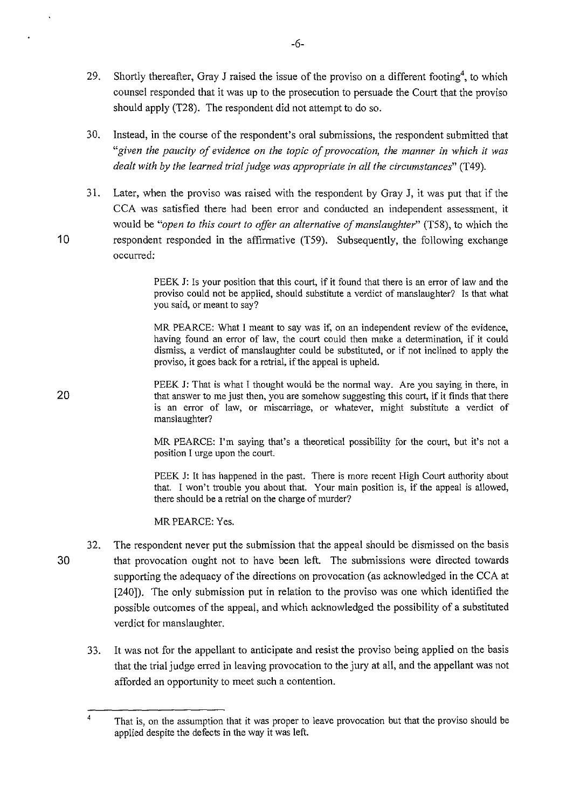- 29. Shortly thereafter, Gray J raised the issue of the proviso on a different footing<sup>4</sup>, to which counsel responded that it was up to the prosecution to persuade the Court that the proviso should apply (T28). The respondent did not attempt to do so.
- 30. Instead, in the course of the respondent's oral submissions, the respondent submitted that *"given the paucity of evidence on the topic of provocation, the manner in which it was dealt with by the learned trial judge was appropriate in all the circumstances"* (T49).
- 31. Later, when the proviso was raised with the respondent by Gray J, it was put that if the CCA was satisfied there had been error and conducted an independent assessment, it would be *"open to this court to offer an alternative of manslaughter"* (T58), to which the 10 respondent responded in the affirmative (T59). Subsequently, the following exchange occurred:

PEEK J: Is your position that this court, if it found that there is an error of law and the proviso could not be applied, should substitute a verdict of manslaughter? Is that what you said, or meant to say?

MR PEARCE: What I meant to say was if, on an independent review of the evidence, having found an error of law, the court could then make a determination, if it could dismiss, a verdict of manslaughter could be substituted, or if not inclined to apply the proviso, it goes back for a retrial, if the appeal is upheld.

PEEK J: That is what I thought would be the normal way. Are you saying in there, in that answer to me just then, you are somehow suggesting this court, if it finds that there is an error of law, or miscarriage, or whatever, might substitute a verdict of manslaughter?

> MR PEARCE: I'm saying that's a theoretical possibility for the court, but it's not a position I urge upon the court.

> PEEK J: It has happened in the past. There is more recent High Court authority about that. I won't trouble you about that. Your main position is, if the appeal is allowed, there should be a retrial on the charge of murder?

MR PEARCE: Yes.

- 32. The respondent never put the submission that the appeal should be dismissed on the basis 30 that provocation ought not to have been left. The submissions were directed towards supporting the adequacy of the directions on provocation (as acknowledged in the CCA at [240]). The only submission put in relation to the proviso was one which identified the possible outcomes of the appeal, and which acknowledged the possibility of a substituted verdict for manslaughter.
	- 33. It was not for the appellant to anticipate and resist the proviso being applied on the basis that the trial judge erred in leaving provocation to the jury at all, and the appellant was not afforded an opportunity to meet such a contention.

20

<sup>&</sup>lt;sup>4</sup> That is, on the assumption that it was proper to leave provocation but that the proviso should be applied despite the defects in the way it was left.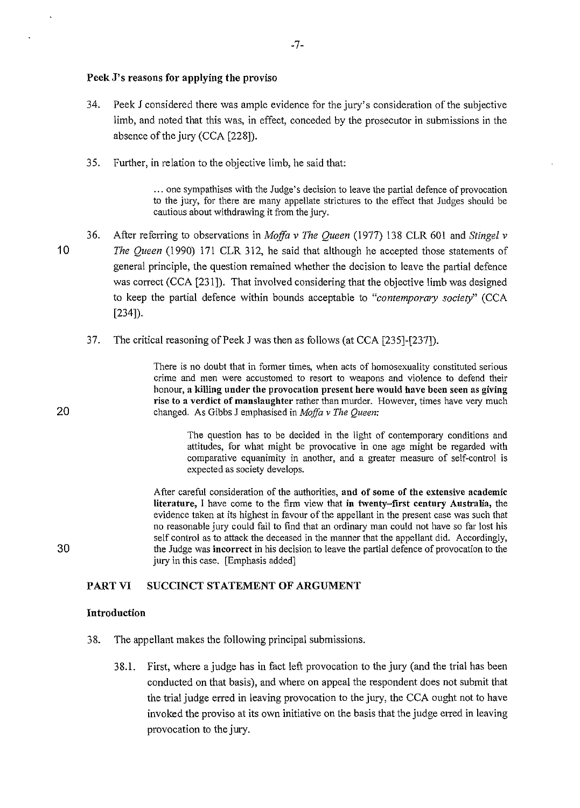#### Peek J's reasons for applying the proviso

34. Peek J considered there was ample evidence for the jury's consideration of the subjective limb, and noted that this was, in effect, conceded by the prosecutor in submissions in the absence of the jury (CCA [228]).

-7-

35. Further, in relation to the objective limb, he said that:

... one sympathises with the Judge's decision to leave the partial defence of provocation to the jury, for there are many appellate strictures to the effect that Judges should be cautious about withdrawing it from the jury.

- 36. After referring to observations in *Moffa v The Queen* (1977) 138 CLR 601 and *Stingel v*  1 0 *The Queen* (1990) 171 CLR 312, he said that although he accepted those statements of general principle, the question remained whether the decision to leave the partial defence was correct (CCA [231]). That involved considering that the objective limb was designed to keep the partial defence within bounds acceptable to *"contemporary society"* (CCA [234]).
	- 37. The critical reasoning of Peek J was then as follows (at CCA [235]-[237]).

There is no doubt that in former times, when acts of homosexuality constituted serious crime and men were accustomed to resort to weapons and violence to defend their honour, a killing under the provocation present here would have been seen as giving rise to a verdict of manslaughter rather than murder. However, times have very much 20 changed. As Gibbs J emphasised in *Moffa* v *The Queen:* 

> The question has to be decided in the light of contemporary conditions and attitudes, for what might be provocative in one age might be regarded with comparative equanimity in another, and a greater measure of self-control is expected as society develops.

After careful consideration of the authorities, and of some of the extensive academic literature, I have come to the firm view that in twenty-first century Australia, the evidence taken at its highest in favour of the appellant in the present case was such that no reasonable jury could fail to find that an ordinary man could not have so far lost his self control as to attack the deceased in the manner that the appellant did. Accordingly, 30 the Judge was incorrect in his decision to leave the partial defence of provocation to the jury in this case. [Emphasis added]

# PART VI SUCCINCT STATEMENT OF ARGUMENT

#### Introduction

- 38. The appellant makes the following principal submissions.
	- 38.1. First, where a judge has in fact left provocation to the jury (and the trial has been conducted on that basis), and where on appeal the respondent does not submit that the trial judge erred in leaving provocation to the jury, the CCA ought not to have invoked the proviso at its own initiative on the basis that the judge erred in leaving provocation to the jury.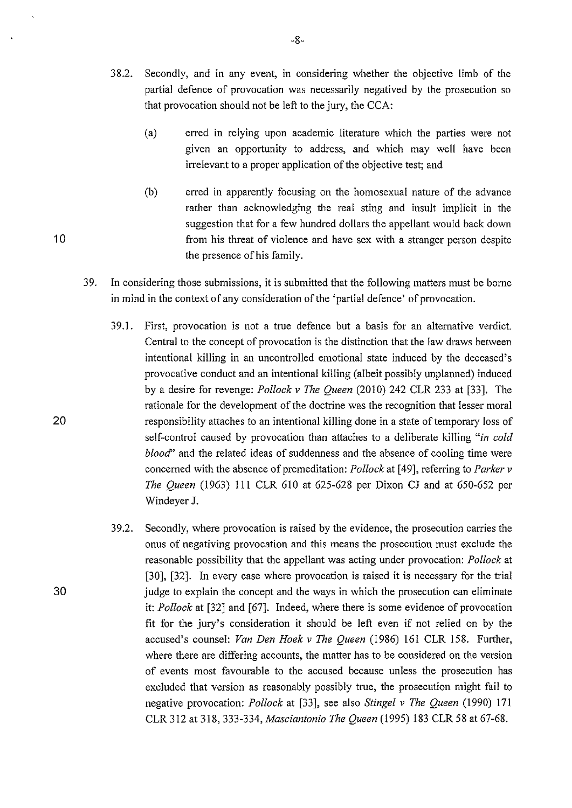- 38.2. Secondly, and in any event, in considering whether the objective limb of the partial defence of provocation was necessarily negatived by the prosecution so that provocation should not be left to the jury, the CCA:
	- (a) erred in relying upon academic literature which the parties were not given an opportunity to address, and which may well have been irrelevant to a proper application of the objective test; and
- (b) erred in apparently focusing on the homosexual nature of the advance rather than acknowledging the real sting and insult implicit in the suggestion that for a few hundred dollars the appellant would back down 10 **10** from his threat of violence and have sex with a stranger person despite the presence of his family.
	- 39. In considering those submissions, it is submitted that the following matters must be borne in mind in the context of any consideration of the 'partial defence' of provocation.
		- 39.1. First, provocation is not a true defence but a basis for an alternative verdict. Central to the concept of provocation is the distinction that the law draws between intentional killing in an uncontrolled emotional state induced by the deceased's provocative conduct and an intentional killing (albeit possibly unplanned) induced by a desire for revenge: *Pollock v The Queen* (2010) 242 CLR 233 at [33]. The rationale for the development of the doctrine was the recognition that lesser moral responsibility attaches to an intentional killing done in a state of temporary loss of self-control caused by provocation than attaches to a deliberate killing *"in cold blood"* and the related ideas of suddenness and the absence of cooling time were concerned with the absence of premeditation: *Pollock* at [ 49], referring to *Parker v The Queen* (1963) 111 CLR 610 at 625-628 per Dixon CJ and at 650-652 per Windeyer J.
		- 39.2. Secondly, where provocation is raised by the evidence, the prosecution carries the onus of negativing provocation and this means the prosecution must exclude the reasonable possibility that the appellant was acting under provocation: *Pollock* at [30], [32]. In every case where provocation is raised it is necessary for the trial judge to explain the concept and the ways in which the prosecution can eliminate it: *Pollock* at [32] and [67]. Indeed, where there is some evidence of provocation fit for the jury's consideration it should be left even if not relied on by the accused's counsel: *Van Den Hoek v The Queen* (1986) 161 CLR 158. Further, where there are differing accounts, the matter has to be considered on the version of events most favourable to the accused because unless the prosecution has excluded that version as reasonably possibly true, the prosecution might fail to negative provocation: *Pollock* at [33], see also *Stingel v The Queen* (1990) 171 CLR 312 at 318, 333-334, *Masciantonio The Queen* (1995) 183 CLR 58 at 67-68.

20

30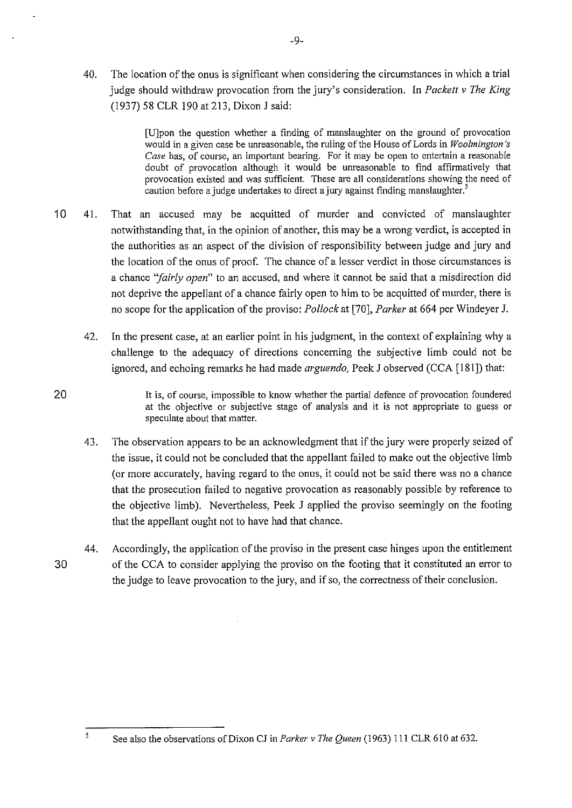40. The location of the onus is significant when considering the circumstances in which a trial judge should withdraw provocation from the jury's consideration. In *Packett v The King*  (1937) 58 CLR 190 at213, Dixon J said:

> [U]pon the question whether a finding of manslaughter on the ground of provocation would in a given case be unreasonable, the ruling of the House of Lords in *Woolmington* 's *Case* has, of course, an important bearing. For it may be open to entertain a reasonable doubt of provocation although it would be unreasonable to find affirmatively that provocation existed and was sufficient. These are all considerations showing the need of caution before a judge undertakes to direct a jury against finding manslaughter.<sup>5</sup>

- 10 41. That an accused may be acquitted of murder and convicted of manslaughter notwithstanding that, in the opinion of another, this may be a wrong verdict, is accepted in the authorities as an aspect of the division of responsibility between judge and jury and the location of the onus of proof. The chance of a lesser verdict in those circumstances is a chance *"fairly open"* to an accused, and where it cannot be said that a misdirection did not deprive the appellant of a chance fairly open to him to be acquitted of murder, there is no scope for the application of the proviso: *Pollock* at [70], *Parker* at 664 per Windeyer J.
	- 42. In the present case, at an earlier point in his judgment, in the context of explaining why a challenge to the adequacy of directions concerning the subjective limb could not be ignored, and echoing remarks he had made *arguendo,* Peek J observed (CCA [181]) that:

20 It is, of course, impossible to know whether the partial defence of provocation foundered at the objective or subjective stage of analysis and it is not appropriate to guess or speculate about that matter.

- 43. The observation appears to be an acknowledgment that if the jury were properly seized of the issue, it could not be concluded that the appellant failed to make out the objective limb (or more accurately, having regard to the onus, it could not be said there was no a chance that the prosecution failed to negative provocation as reasonably possible by reference to the objective limb). Nevertheless, Peek J applied the proviso seemingly on the footing that the appellant ought not to have had that chance.
- 44. Accordingly, the application of the proviso in the present case hinges upon the entitlement 30 of the CCA to consider applying the proviso on the footing that it constituted an error to the judge to leave provocation to the jury, and if so, the correctness of their conclusion.

<sup>5</sup> See also the observations of Dixon CJ in *Parker v The Queen* (1963) 111 CLR 610 at 632.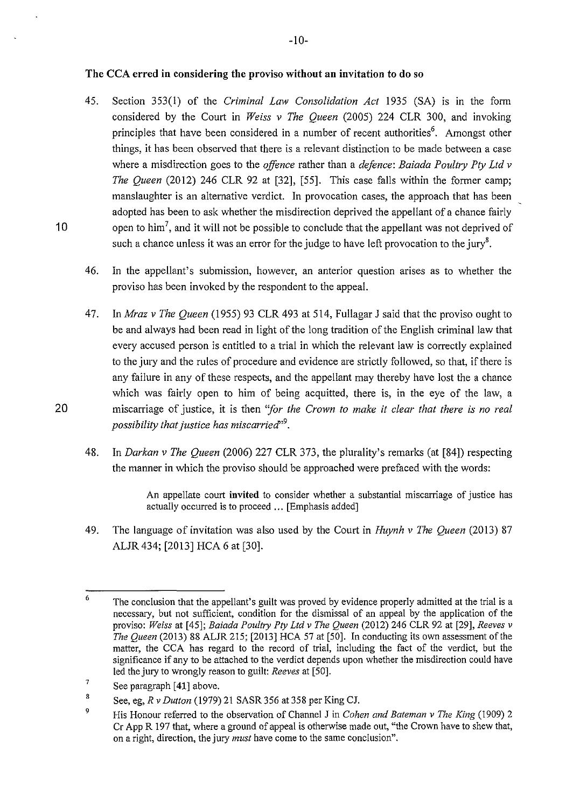### **The CCA erred in considering the proviso without an invitation to do so**

- 45. Section 353(1) of the *Criminal Law Consolidation Act* 1935 (SA) IS m the form considered by the Court in *Weiss v The Queen* (2005) 224 CLR 300, and invoking principles that have been considered in a number of recent authorities<sup>6</sup>. Amongst other things, it has been observed that there is a relevant distinction to be made between a case where a misdirection goes to the *offence* rather than a *defence: Baiada Poultry Pty Ltd v The Queen* (2012) 246 CLR 92 at [32], [55]. This case falls within the former camp; manslaughter is an alternative verdict. In provocation cases, the approach that has been adopted has been to ask whether the misdirection deprived the appellant of a chance fairly 10 open to him<sup>7</sup>, and it will not be possible to conclude that the appellant was not deprived of such a chance unless it was an error for the judge to have left provocation to the jury<sup>8</sup>.
	- 46. In the appellant's submission, however, an anterior question arises as to whether the proviso has been invoked by the respondent to the appeal.
- 47. In *Mraz v The Queen* (1955) 93 CLR 493 at 514, Fullagar J said that the proviso ought to be and always had been read in light of the long tradition of the English criminal law that every accused person is entitled to a trial in which the relevant law is correctly explained to the jury and the rules of procedure and evidence are strictly followed, so that, if there is any failure in any of these respects, and the appellant may thereby have lost the a chance which was fairly open to him of being acquitted, there is, in the eye of the law, a 20 miscarriage of justice, it is then *"for the Crown to make it clear that there is no real possibility that justice has miscarried'<sup>9</sup> •* 
	- 48. In *Darkan v The Queen* (2006) 227 CLR 373, the plurality's remarks (at [84]) respecting the manner in which the proviso should be approached were prefaced with the words:

An appellate court **invited** to consider whether a substantial miscarriage of justice has actually occurred is to proceed ... [Emphasis added]

49. The language of invitation was also used by the Court in *Huynh v The Queen* (2013) 87 ALJR 434; [2013] HCA 6 at [30].

<sup>6</sup>  The conclusion that the appellant's guilt was proved by evidence properly admitted at the trial is a necessary, but not sufficient, condition for the dismissal of an appeal by the application of the proviso: *Weiss* at [45]; *Baiada Poultry Pty Ltd v The Queen* (2012) 246 CLR 92 at [29], *Reeves v The Queen* (2013) 88 ALJR 215; [2013] HCA 57 at [50]. In conducting its own assessment of the matter, the CCA has regard to the record of trial, including the fact of the verdict, but the significance if any to be attached to the verdict depends upon whether the misdirection could have led the jury to wrongly reason to guilt: *Reeves* at [50].

<sup>7</sup>  See paragraph [ **41]** above.

<sup>8</sup>  See, eg, *R v Dutton* (1979) 21 SASR 356 at 358 per King CJ.

<sup>9</sup>  His Honour referred to the observation of Channel J in *Cohen and Bateman v The King* (!909) 2 Cr App R 197 that, where a ground of appeal is otherwise made out, "the Crown have to shew that, on a right, direction, the jury *must* have come to the same conclusion".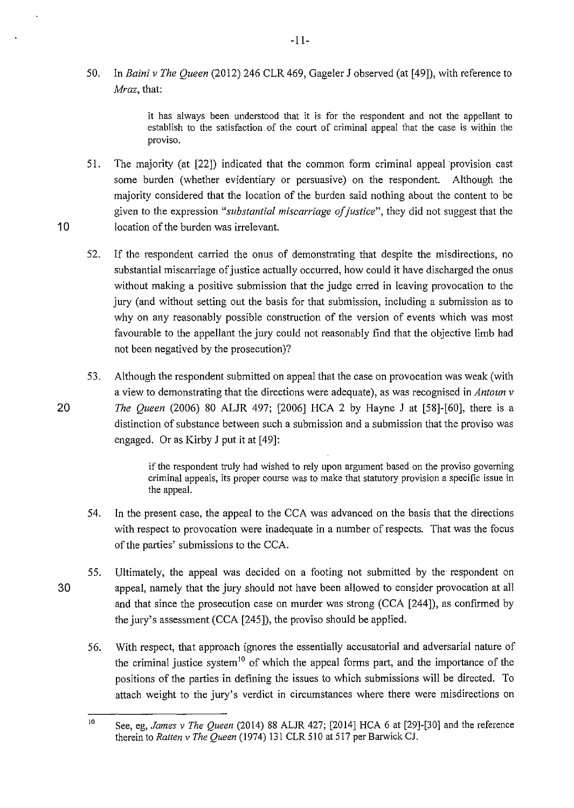50. In *Baini v The Queen* (2012) 246 CLR 469, Gageler J observed (at [49]), with reference to *Mraz,* that:

> it has always been understood that it is for the respondent and not the appellant to establish to the satisfaction of the court of criminal appeal that the case is within the proviso.

- 51. The majority (at [22]) indicated that the common form criminal appeal provision cast some burden (whether evidentiary or persuasive) on the respondent. Although the majority considered that the location of the burden said nothing about the content to be given to the expression *"substantial miscarriage of justice",* they did not suggest that the 10 location of the burden was irrelevant.
	- 52. If the respondent carried the onus of demonstrating that despite the misdirections, no substantial miscarriage of justice actually occurred, how could it have discharged the onus without making a positive submission that the judge erred in leaving provocation to the jury (and without setting out the basis for that submission, including a submission as to why on any reasonably possible construction of the version of events which was most favourable to the appellant the jury could not reasonably find that the objective limb had not been negatived by the prosecution)?
- 53. Although the respondent submitted on appeal that the case on provocation was weak (with a view to demonstrating that the directions were adequate), as was recognised in *Antoun v*  20 *The Queen* (2006) 80 ALJR 497; [2006] HCA 2 by Hayne J at [58]-[60], there is a distinction of substance between such a submission and a submission that the proviso was engaged. Or as Kirby J put it at [49]:

if the respondent truly had wished to rely upon argument based on the proviso governing criminal appeals, its proper course was to make that statutory provision a specific issue in the appeal.

- 54. In the present case, the appeal to the CCA was advanced on the basis that the directions with respect to provocation were inadequate in a number of respects. That was the focus of the parties' submissions to the CCA.
- 55. Ultimately, the appeal was decided on a footing not submitted by the respondent on 30 appeal, namely that the jury should not have been allowed to consider provocation at all and that since the prosecution case on murder was strong (CCA [244]), as confirmed by the jury's assessment (CCA [245]), the proviso should be applied.
	- 56. With respect, that approach ignores the essentially accusatorial and adversarial nature of the criminal justice system<sup>10</sup> of which the appeal forms part, and the importance of the positions of the parties in defining the issues to which submissions will be directed. To attach weight to the jury's verdict in circumstances where there were misdirections on

<sup>10</sup> See, eg, *James v The Queen* (2014) 88 ALJR 427; [2014] HCA 6 at [29]-[30] and the reference therein to *Ratten v The Queen* (1974) 131 CLR 510 at 517 per Barwick CJ.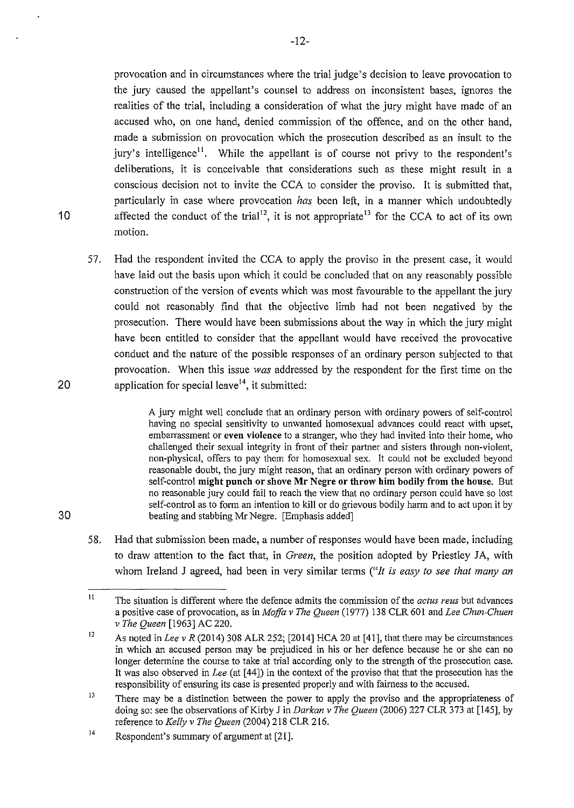provocation and in circumstances where the trial judge's decision to leave provocation to the jury caused the appellant's counsel to address on inconsistent bases, ignores the realities of the trial, including a consideration of what the jury might have made of an accused who, on one hand, denied commission of the offence, and on the other hand, made a submission on provocation which the prosecution described as an insult to the jury's intelligence<sup>11</sup>. While the appellant is of course not privy to the respondent's deliberations, it is conceivable that considerations such as these might result in a conscious decision not to invite the CCA to consider the proviso. It is submitted that, particularly in case where provocation *has* been left, in a manner which undoubtedly 10 affected the conduct of the trial<sup>12</sup>, it is not appropriate<sup>13</sup> for the CCA to act of its own motion.

57. Had the respondent invited the CCA to apply the proviso in the present case, it would have laid out the basis upon which it could be concluded that on any reasonably possible construction of the version of events which was most favourable to the appellant the jury could not reasonably find that the objective limb had not been negatived by the prosecution. There would have been submissions about the way in which the jury might have been entitled to consider that the appellant would have received the provocative conduct and the nature of the possible responses of an ordinary person subjected to that provocation. When this issue *was* addressed by the respondent for the first time on the 20 application for special leave<sup>14</sup>, it submitted:

A jury might well conclude that an ordinary person with ordinary powers of self-control having no special sensitivity to unwanted homosexual advances could react with upset, embarrassment or even violence to a stranger, who they had invited into their home, who challenged their sexual integrity in front of their partner and sisters through non-violent, non-physical, offers to pay them for homosexual sex. It could not be excluded beyond reasonable doubt, the jury might reason, that an ordinary person with ordinary powers of self-control might pnnch or shove Mr Negre or throw **him** bodily from the house. But no reasonable jury could fail to reach the view that no ordinary person could have so lost self-control as to form an intention to kill or do grievous bodily harm and to act upon it by 30 beating and stabbing Mr Negre. [Emphasis added]

58. Had that submission been made, a number of responses would have been made, including to draw attention to the fact that, in *Green*, the position adopted by Priestley JA, with whom Ireland J agreed, had been in very similar terms *("It is easy to see that many an* 

II The situation is different where the defence admits the commission of the *actus reus* but advances a positive case of provocation, as in *Moffa v The Queen* (1977) 138 CLR 601 and *Lee Chun-Chuen v The Queen* [1963] AC 220.

<sup>12</sup>  As noted in *Lee v R* (2014) 308 ALR 252; [2014] HCA 20 at [41], that there may be circumstances in which an accused person may be prejudiced in his or her defence because he or she can no longer determine the course to take at trial according only to the strength of the prosecution case. It was also observed in *Lee* (at [44]) in the context of the proviso that that the prosecution has the responsibility of ensuring its case is presented properly and with fairness to the accused.

<sup>13</sup>  There may be a distinction between the power to apply the proviso and the appropriateness of doing so: see the observations of Kirby J in *Darkan v The Queen* (2006) 227 CLR 373 at [145], by reference to *Kelly v The Queen* (2004) 218 CLR 216.

<sup>14</sup>  Respondent's summary of argument at [21].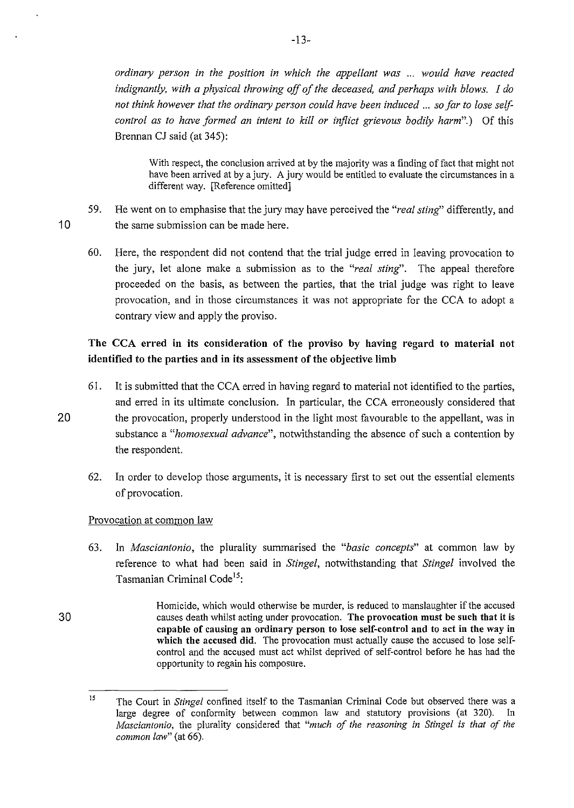*ordinary person in the position in which the appellant was* ... *would have reacted indignantly, with a physical throwing off of the deceased, and perhaps with blows. I do not think however that the ordinary person could have been induced* ... *so far to lose self*control as to have formed an intent to kill or inflict grievous bodily harm".) Of this Brennan CJ said (at 345):

With respect, the conclusion arrived at by the majority was a finding of fact that might not have been arrived at by a jury. A jury would be entitled to evaluate the circumstances in a different way. [Reference omitted]

- 59. He went on to emphasise that the jury may have perceived the *"real sting'* differently, and 10 the same submission can be made here.
	- 60. Here, the respondent did not contend that the trial judge erred in leaving provocation to the jury, let alone make a submission as to the *"real sting'.* The appeal therefore proceeded on the basis, as between the parties, that the trial judge was right to leave provocation, and in those circumstances it was not appropriate for the CCA to adopt a contrary view and apply the proviso.

# The CCA erred in its consideration of the proviso by having regard to material not identified to the parties and in its assessment of the objective limb

- 61. It is submitted that the CCA erred in having regard to material not identified to the parties, and erred in its ultimate conclusion. In particular, the CCA erroneously considered that 20 the provocation, properly understood in the light most favourable to the appellant, was in substance a *"homosexual advance",* notwithstanding the absence of such a contention by the respondent.
	- 62. In order to develop those arguments, it is necessary first to set out the essential elements of provocation.

# Provocation at common law

- 63. In *Masciantonio,* the plurality summarised the *"basic concepts"* at common law by reference to what had been said in *Stingel,* notwithstanding that *Stingel* involved the Tasmanian Criminal Code<sup>15</sup>:
- 30 Homicide, which would otherwise be murder, is reduced to manslaughter if the accused causes death whilst acting under provocation. The provocation must be such that it is capable of causing an ordinary person to lose self-control and to act in the way in which the accused did. The provocation must actually cause the accused to lose selfcontrol and the accused must act whilst deprived of self-control before he has had the opportunity to regain his composure.

<sup>15</sup>  The Court in *Stingel* confined itself to the Tasmanian Criminal Code but observed there was a large degree of conformity between common law and statutory provisions (at 320). In *Masciantonio,* the plurality considered that *"much of the reasoning in Stingel is that of the common law"* (at 66).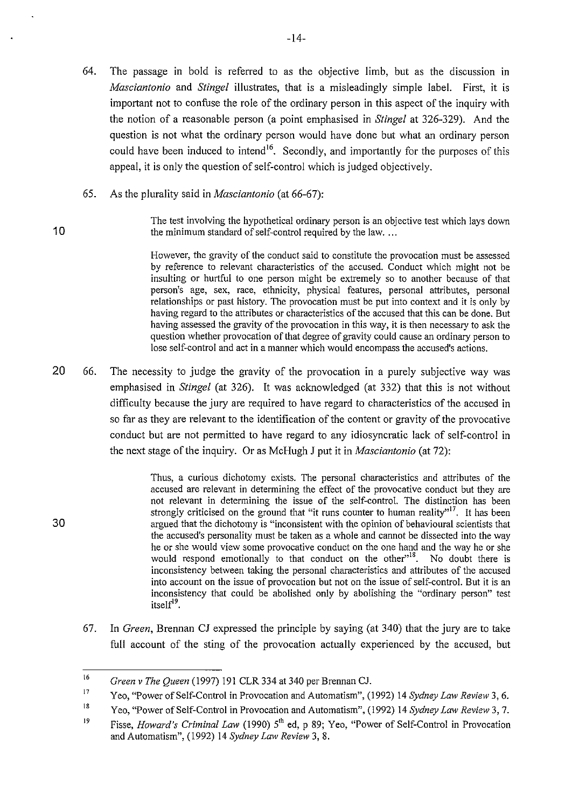- 64. The passage in bold is referred to as the objective limb, but as the discussion in *Masciantonio* and *Stingel* illustrates, that is a misleadingly simple label. First, it is important not to confuse the role of the ordinary person in this aspect of the inquiry with the notion of a reasonable person (a point emphasised in *Stingel* at 326-329). And the question is not what the ordinary person would have done but what an ordinary person could have been induced to intend<sup>16</sup>. Secondly, and importantly for the purposes of this appeal, it is only the question of self-control which is judged objectively.
- 65. As the plurality said in *Masciantonio* (at 66-67):

The test involving the hypothetical ordinary person is an objective test which lays down 10 the minimum standard of self-control required by the law....

> However, the gravity of the conduct said to constitute the provocation must be assessed by reference to relevant characteristics of the accused. Conduct which might not be insulting or hurtful to one person might be extremely so to another because of that person's age, sex, race, ethnicity, physical features, personal attributes, personal relationships or past history. The provocation must be put into context and it is only by having regard to the attributes or characteristics of the accused that this can be done. But having assessed the gravity of the provocation in this way, it is then necessary to ask the question whether provocation of that degree of gravity could cause an ordinary person to lose self-control and act in a manner which would encompass the accused's actions.

20 66. The necessity to judge the gravity of the provocation in a purely subjective way was emphasised in *Stingel* (at 326). It was acknowledged (at 332) that this is not without difficulty because the jury are required to have regard to characteristics of the accused in so far as they are relevant to the identification of the content or gravity of the provocative conduct but are not permitted to have regard to any idiosyncratic lack of self-control in the next stage of the inquiry. Or as McHugh J put it in *Masciantonio* (at 72):

Thus, a curious dichotomy exists. The personal characteristics and attributes of the accused are relevant in determining the effect of the provocative conduct but they are not relevant in determining the issue of the self-control. The distinction has been strongly criticised on the ground that "it runs counter to human reality"<sup>17</sup>. It has been 30 argued that the dichotomy is "inconsistent with the opinion of behavioural scientists that the accused's personality must be taken as a whole and cannot be dissected into the way he or she would view some provocative conduct on the one hand and the way he or she would respond emotionally to that conduct on the other<sup>18</sup>. No doubt there is inconsistency between taking the personal characteristics and attributes of the accused into account on the issue of provocation but not on the issue of self-control. But it is an inconsistency that could be abolished only by abolishing the "ordinary person" test itself<sup>19</sup>.

67. In *Green,* Brennan CJ expressed the principle by saying (at 340) that the jury are to take full account of the sting of the provocation actually experienced by the accused, but

<sup>16</sup>  *Green v The Queen* (1997) 191 CLR 334 at 340 per Brennan CJ.

<sup>17</sup>  Yeo, "Power of Self-Control in Provocation and Automatism", (1992) 14 *Sydney Law Review* 3, 6.

<sup>18</sup>  Yeo, "Power of Self-Control in Provocation and Automatism", (1992) 14 *Sydney Law Review* 3, 7.

<sup>19</sup>  Fisse, *Howard's Criminal Law* (1990) 5<sup>th</sup> ed, p 89; Yeo, "Power of Self-Control in Provocation and Automatism", (1992) 14 *Sydney Law Review* 3, 8.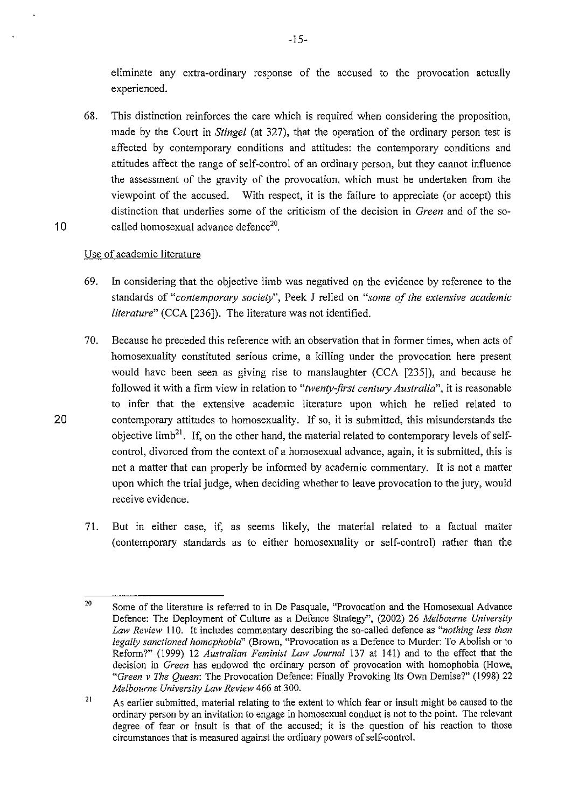eliminate any extra-ordinary response of the accused to the provocation actually experienced.

68. This distinction reinforces the care which is required when considering the proposition, made by the Court in *Stingel* (at 327), that the operation of the ordinary person test is affected by contemporary conditions and attitudes: the contemporary conditions and attitudes affect the range of self-control of an ordinary person, but they cannot influence the assessment of the gravity of the provocation, which must be undertaken from the viewpoint of the accused. With respect, it is the failure to appreciate (or accept) this distinction that underlies some of the criticism of the decision in *Green* and of the so-10 called homosexual advance defence<sup>20</sup>.

## Use of academic literature

- 69. In considering that the objective limb was negatived on the evidence by reference to the standards of *"contemporary society",* Peek J relied on *"some of the extensive academic literature"* (CCA [236]). The literature was not identified.
- 70. Because he preceded this reference with an observation that in former times, when acts of homosexuality constituted serious crime, a killing under the provocation here present would have been seen as giving rise to manslaughter (CCA [235]), and because he followed it with a firm view in relation to *"twenty-first century Australia",* it is reasonable to infer that the extensive academic literature upon which he relied related to 20 contemporary attitudes to homosexuality. If so, it is submitted, this misunderstands the objective limb<sup>21</sup>. If, on the other hand, the material related to contemporary levels of selfcontrol, divorced from the context of a homosexual advance, again, it is submitted, this is not a matter that can properly be informed by academic commentary. It is not a matter upon which the trial judge, when deciding whether to leave provocation to the jury, would receive evidence.
	- 7!. But in either case, if, as seems likely, the material related to a factual matter (contemporary standards as to either homosexuality or self-control) rather than the

<sup>20</sup>  Some of the literature is referred to in De Pasquale, "Provocation and the Homosexual Advance Defence: The Deployment of Culture as a Defence Strategy", (2002) 26 *Melbourne University Law Review* 110. It includes commentary describing the so-called defence as *"nothing less than legally sanctioned homophobia"* (Brown, "Provocation as a Defence to Murder: To Abolish or to Reform?" (1999) 12 *Australian Feminist Law Journal* 137 at 141) and to the effect that the decision in *Green* has endowed the ordinary person of provocation with homophobia (Howe, *"Green v The Queen:* The Provocation Defence: Finally Provoking Its Own Demise?" (1998) 22 *Melbourne University Law Review* 466 at 300.

<sup>21</sup>  As earlier submitted, material relating to the extent to which fear or insult might be caused to the ordinary person by an invitation to engage in homosexual conduct is not to the point. The relevant degree of fear or insult is that of the accused; it is the question of his reaction to those circumstances that is measured against the ordinary powers of self-control.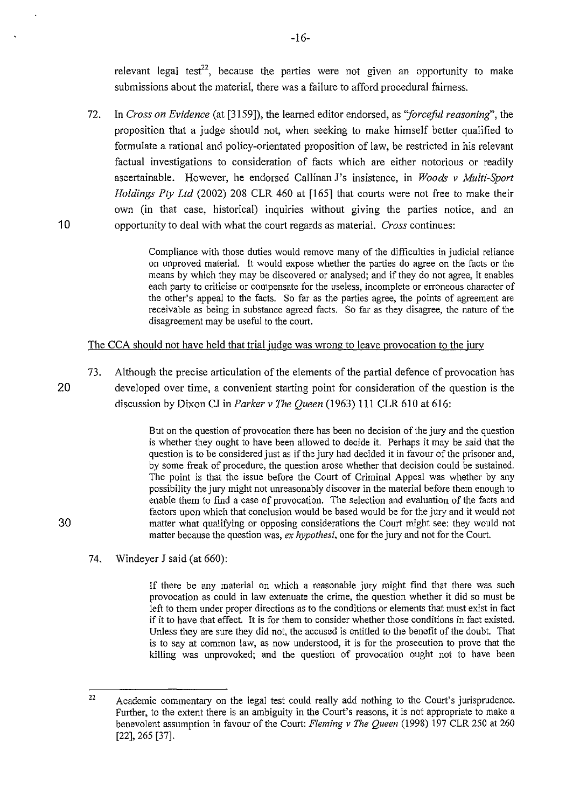relevant legal test<sup>22</sup>, because the parties were not given an opportunity to make submissions about the material, there was a failure to afford procedural fairness.

72. In *Cross on Evidence* (at [3159]), the learned editor endorsed, as *"forceful reasoning",* the proposition that a judge should not, when seeking to make himself better qualified to formulate a rational and policy-orientated proposition of law, be restricted in his relevant factual investigations to consideration of facts which are either notorious or readily ascertainable. However, he endorsed Callinan J's insistence, **in** *Woods v Multi-Sport Holdings Pty Ltd* (2002) 208 CLR 460 at [165] that courts were not free to make their own (in that case, historical) inquiries without giving the parties notice, and an **1** 0 opportunity to deal with what the court regards as material. *Cross* continues:

> Compliance with those duties would remove many of the difficulties in judicial reliance on unproved material. It would expose whether the parties do agree on the facts or the means by which they may be discovered or analysed; and if they do not agree, it enables each party to criticise or compensate for the useless, incomplete or erroneous character of the other's appeal to the facts. So far as the parties agree, the points of agreement are receivable as being in substance agreed facts. So far as they disagree, the nature of the disagreement may be useful to the court.

The CCA should not have held that trial judge was wrong to leave provocation to the jury

73. Although the precise articulation of the elements of the partial defence of provocation has 20 developed over time, a convenient starting point for consideration of the question is the discussion by Dixon CJ in *Parker v The Queen* (1963) 111 CLR 610 at 616:

But on the question of provocation there has been no decision of the jury and the question is whether they ought to have been allowed to decide it. Perhaps it may be said that the question is to be considered just as if the jury had decided it in favour of the prisoner and, by some freak of procedure, the question arose whether that decision could be sustained. The point is that the issue before the Court of Criminal Appeal was whether by any possibility the jury might not unreasonably discover in the material before them enough to enable them to find a case of provocation. The selection and evaluation of the facts and factors upon which that conclusion would be based would be for the jury and it would not 30 matter what qualifying or opposing considerations the Court might see: they would not matter because the question was, *ex hypothesi,* one for the jury and not for the Court.

74. Windeyer **J** said (at 660):

If there be any material on which a reasonable jury might find that there was such provocation as could in law extenuate the crime, the question whether it did so must be left to them under proper directions as to the conditions or elements that must exist in fact if it to have that effect. It is for them to consider whether those conditions in fact existed. Unless they are sure they did not, the accused is entitled to the benefit of the doubt. That is to say at common law, as now understood, it is for the prosecution to prove that the killing was unprovoked; and the question of provocation ought not to have been

<sup>22</sup>  Academic commentary on the legal test could really add nothing to the Court's jurisprudence. Further, to the extent there is an ambiguity in the Court's reasons, it is not appropriate to make a benevolent assumption in favour of the Court: *Fleming v The Queen* (1998) 197 CLR 250 at 260 [22], 265 [37].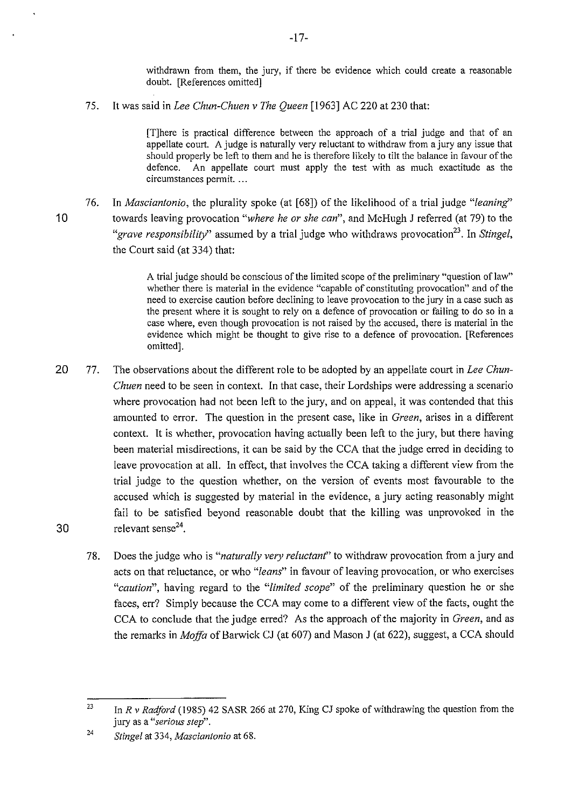withdrawn from them, the jury, if there be evidence which could create a reasonable doubt. [References omitted]

75. It was said in *Lee Chun-Chuen v The Queen* [1963] AC 220 at 230 that:

[T]here is practical difference between the approach of a trial judge and that of an appellate court. A judge is naturally very reluctant to withdraw from a jury any issue that should properly be left to them and he is therefore likely to tilt the balance in favour of the defence. An appellate court must apply the test with as much exactitude as the circumstances permit. ...

76. In *Masciantonio,* the plurality spoke (at [68]) of the likelihood of a trial judge *"leaning'*  10 towards leaving provocation *"where he or she can",* and McHugh J referred (at 79) to the *"grave responsibility*" assumed by a trial judge who withdraws provocation<sup>23</sup>. In *Stingel*, the Court said (at 334) that:

> A trial judge should be conscious of the limited scope of the preliminary "question of law" whether there is material in the evidence "capable of constituting provocation" and of the need to exercise caution before declining to leave provocation to the jury in a case such as the present where it is sought to rely on a defence of provocation or failing to do so in a case where, even though provocation is not raised by the accused, there is material in the evidence which might be thought to give rise to a defence of provocation. [References omitted].

- 20 77. The observations about the different role to be adopted by an appellate court in *Lee Chun-Chuen* need to be seen in context. In that case, their Lordships were addressing a scenario where provocation had not been left to the jury, and on appeal, it was contended that this amounted to error. The question in the present case, like in *Green,* arises in a different context. It is whether, provocation having actually been left to the jury, but there having been material misdirections, it can be said by the CCA that the judge erred in deciding to leave provocation at all. In effect, that involves the CCA taking a different view from the trial judge to the question whether, on the version of events most favourable to the accused which is suggested by material in the evidence, a jury acting reasonably might fail to be satisfied beyond reasonable doubt that the killing was unprovoked in the 30 relevant sense $2^4$ .
	- 78. Does the judge who is *"naturally very reluctant'* to withdraw provocation from a jury and acts on that reluctance, or who *"leans"* in favour of leaving provocation, or who exercises *"caution",* having regard to the *"limited scope"* of the preliminary question he or she faces, err? Simply because the CCA may come to a different view of the facts, ought the CCA to conclude that the judge erred? As the approach of the majority in *Green,* and as the remarks in *Moffa* of Barwick CJ (at 607) and Mason J (at 622), suggest, a CCA should

<sup>23</sup>  In *R v Radford* (1985) 42 SASR 266 at 270, King CJ spoke of withdrawing the question from the **jury as a** *"serious step".* 

<sup>24</sup>  *Stingel* at 334, *Masciantonio* at 68.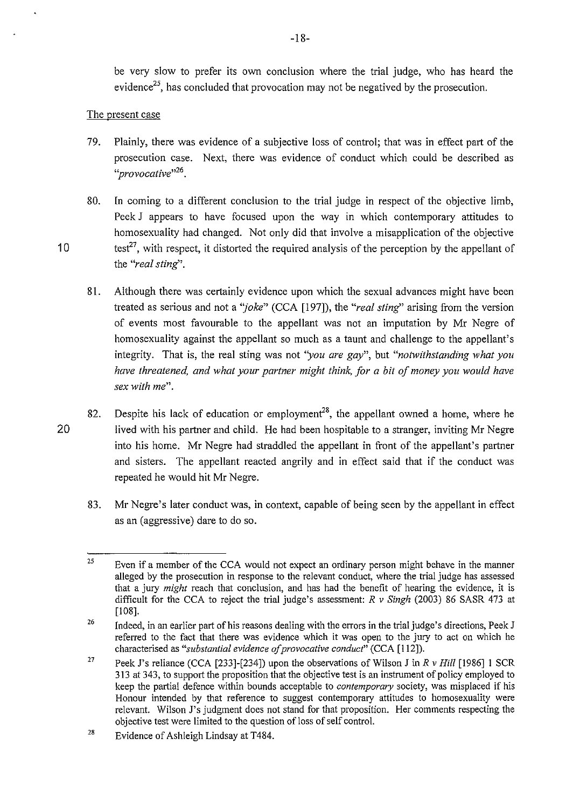be very slow to prefer its own conclusion where the trial judge, who has heard the evidence<sup>25</sup>, has concluded that provocation may not be negatived by the prosecution.

## The present case

- 79. Plainly, there was evidence of a subjective loss of control; that was in effect part of the prosecution case. Next, there was evidence of conduct which could be described as *"provocative''<sup>26</sup> .*
- 80. In coming to a different conclusion to the trial judge in respect of the objective limb, Peek J appears to have focused upon the way in which contemporary attitudes to homosexuality had changed. Not only did that involve a misapplication of the objective 10 test<sup>27</sup>, with respect, it distorted the required analysis of the perception by the appellant of the *"real sting'.* 
	- 81. Although there was certainly evidence upon which the sexual advances might have been treated as serious and not a *"joke"* (CCA [197]), the *"real sting'* arising from the version of events most favourable to the appellant was not an imputation by Mr Negre of homosexuality against the appellant so much as a taunt and challenge to the appellant's integrity. That is, the real sting was not *"you are gay",* but *"notwithstanding what you have threatened, and what your partner might think, for a bit of money you would have sex with me".*
- 82. Despite his lack of education or employment<sup>28</sup>, the appellant owned a home, where he 20 lived with his partner and child. He had been hospitable to a stranger, inviting Mr Negre into his home. Mr Negre had straddled the appellant in front of the appellant's partner and sisters. The appellant reacted angrily and in effect said that if the conduct was repeated he would hit Mr Negre.
	- 83. Mr Negre's later conduct was, in context, capable of being seen by the appellant in effect as an (aggressive) dare to do so.

-18-

<sup>25</sup>  Even if a member of the CCA would not expect an ordinary person might behave in the manner alleged by the prosecution in response to the relevant conduct, where the trial judge has assessed that a jury *might* reach that conclusion, and has had the benefit of hearing the evidence, it is difficult for the CCA to reject the trial judge's assessment: *R v Singh* (2003) 86 SASR 473 at [108].

<sup>26</sup>  Indeed, in an earlier part of his reasons dealing with the errors in the trial judge's directions, Peek J referred to the fact that there was evidence which it was open to the jury to act on which he characterised as *"substantial evidence of provocative conduct"* (CCA [112]).

<sup>27</sup>  Peek J's reliance (CCA [233]-[234]) upon the observations of Wilson J in *R v Hill* [1986] 1 SCR 313 at 343, to support the proposition that the objective test is an instrument of policy employed to keep the partial defence within bounds acceptable to *contemporary* society, was misplaced if his Honour intended by that reference to suggest contemporary attitudes to homosexuality were relevant. Wilson J's judgment does not stand for that proposition. Her comments respecting the objective test were limited to the question of loss of self control.

<sup>28</sup>  Evidence of Ashleigh Lindsay at T484.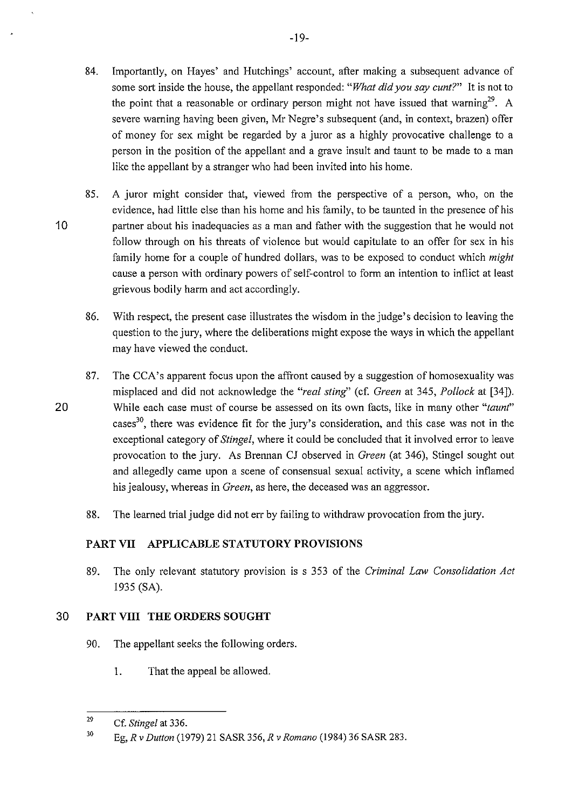- 84. Importantly, on Hayes' and Hutchings' account, after making a subsequent advance of some sort inside the house, the appellant responded: "What did you say cunt?" It is not to the point that a reasonable or ordinary person might not have issued that warning<sup>29</sup>. A severe warning having been given, Mr Negre's subsequent (and, in context, brazen) offer of money for sex might be regarded by a juror as a highly provocative challenge to a person in the position of the appellant and a grave insult and taunt to be made to a man like the appellant by a stranger who had been invited into his home.
- 85. A juror might consider that, viewed from the perspective of a person, who, on the evidence, had little else than his home and his family, to be taunted in the presence of his 10 partner about his inadequacies as a man and father with the suggestion that he would not follow through on his threats of violence but would capitulate to an offer for sex in his family home for a couple of hundred dollars, was to be exposed to conduct which *might*  cause a person with ordinary powers of self-control to form an intention to inflict at least grievous bodily harm and act accordingly.
	- 86. With respect, the present case illustrates the wisdom in the judge's decision to leaving the question to the jury, where the deliberations might expose the ways in which the appellant may have viewed the conduct.
- 87. The CCA's apparent focus upon the affront caused by a suggestion of homosexuality was misplaced and did not acknowledge the *"real sting'* (cf. *Green* at 345, *Pollock* at [34]). 20 While each case must of course be assessed on its own facts, like in many other *"taunf'*  cases<sup>30</sup>, there was evidence fit for the jury's consideration, and this case was not in the exceptional category of *Stingel,* where it could be concluded that it involved error to leave provocation to the jury. As Brennan CJ observed in *Green* (at 346), Stingel sought out and allegedly came upon a scene of consensual sexual activity, a scene which inflamed his jealousy, whereas in *Green,* as here, the deceased was an aggressor.
	- 88. The learned trial judge did not err by failing to withdraw provocation from the jury.

# **PART VII APPLICABLE STATUTORY PROVISIONS**

89. The only relevant statutory provision is s 353 of the *Criminal Law Consolidation Act*  1935 (SA).

# 30 **PART VIII THE ORDERS SOUGHT**

- 90. The appellant seeks the following orders.
	- 1. That the appeal be allowed.

<sup>29</sup> Cf. *Stingel* at 336.

<sup>30</sup> Eg, *R v Dutton* (1979) 21 SASR 356, *R v Romano* (1984) 36 SASR 283.